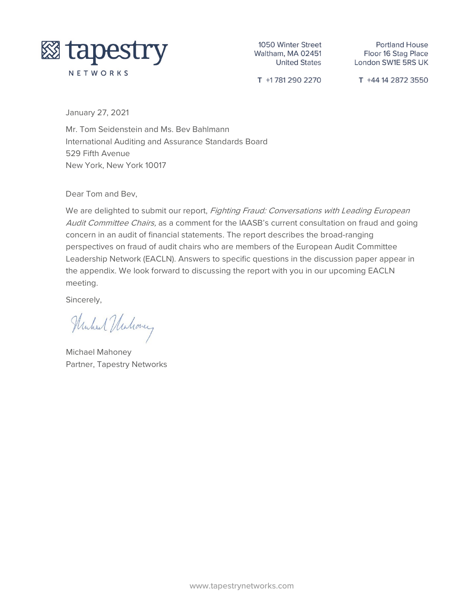

1050 Winter Street Waltham, MA 02451 **United States** 

**Portland House** Floor 16 Stag Place London SW1E 5RS UK

T +1781 290 2270

T +44 14 2872 3550

January 27, 2021

Mr. Tom Seidenstein and Ms. Bev Bahlmann International Auditing and Assurance Standards Board 529 Fifth Avenue New York, New York 10017

Dear Tom and Bev,

We are delighted to submit our report, Fighting Fraud: Conversations with Leading European Audit Committee Chairs, as a comment for the IAASB's current consultation on fraud and going concern in an audit of financial statements. The report describes the broad-ranging perspectives on fraud of audit chairs who are members of the European Audit Committee Leadership Network (EACLN). Answers to specific questions in the discussion paper appear in the appendix. We look forward to discussing the report with you in our upcoming EACLN meeting.

Sincerely,

Hushal Hushovery

Michael Mahoney Partner, Tapestry Networks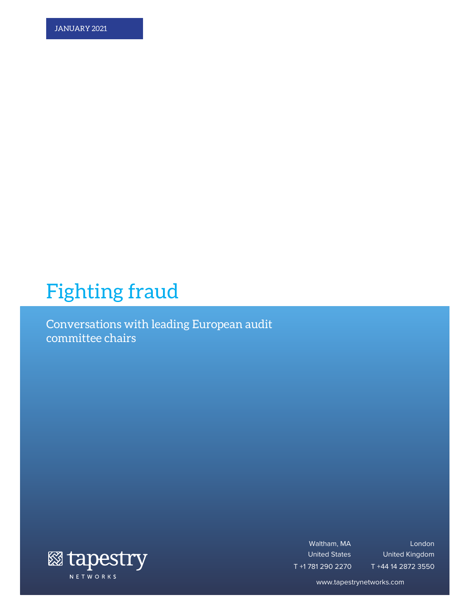# Fighting fraud

Conversations with leading European audit committee chairs



Waltham, MA United States T +1 781 290 2270

London United Kingdom T +44 14 2872 3550

www.tapestrynetworks.com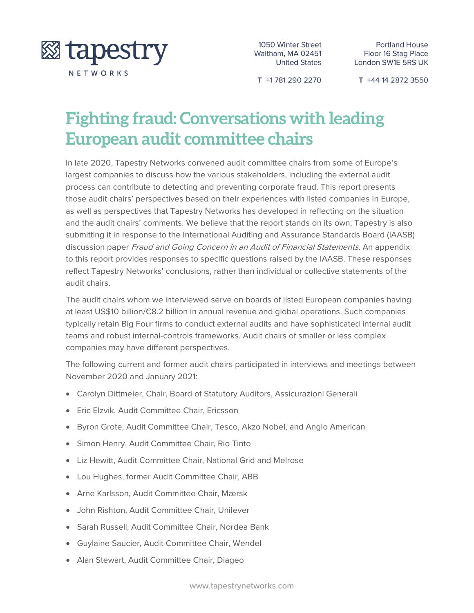

1050 Winter Street Waltham, MA 02451 **United States** 

T +1781 290 2270

T +44 14 2872 3550

## **Fighting fraud: Conversations with leading European audit committee chairs**

In late 2020, Tapestry Networks convened audit committee chairs from some of Europe's largest companies to discuss how the various stakeholders, including the external audit process can contribute to detecting and preventing corporate fraud. This report presents those audit chairs' perspectives based on their experiences with listed companies in Europe, as well as perspectives that Tapestry Networks has developed in reflecting on the situation and the audit chairs' comments. We believe that the report stands on its own; Tapestry is also submitting it in response to the International Auditing and Assurance Standards Board (IAASB) discussion paper Fraud and Going Concern in an Audit of Financial Statements. An appendix to this report provides responses to specific questions raised by the IAASB. These responses reflect Tapestry Networks' conclusions, rather than individual or collective statements of the audit chairs.

The audit chairs whom we interviewed serve on boards of listed European companies having at least US\$10 billion/€8.2 billion in annual revenue and global operations. Such companies typically retain Big Four firms to conduct external audits and have sophisticated internal audit teams and robust internal-controls frameworks. Audit chairs of smaller or less complex companies may have different perspectives.

The following current and former audit chairs participated in interviews and meetings between November 2020 and January 2021:

- Carolyn Dittmeier, Chair, Board of Statutory Auditors, Assicurazioni Generali
- Eric Elzvik, Audit Committee Chair, Ericsson
- Byron Grote, Audit Committee Chair, Tesco, Akzo Nobel, and Anglo American
- Simon Henry, Audit Committee Chair, Rio Tinto
- Liz Hewitt, Audit Committee Chair, National Grid and Melrose
- Lou Hughes, former Audit Committee Chair, ABB
- Arne Karlsson, Audit Committee Chair, Mærsk
- John Rishton, Audit Committee Chair, Unilever
- Sarah Russell, Audit Committee Chair, Nordea Bank
- Guylaine Saucier, Audit Committee Chair, Wendel
- Alan Stewart, Audit Committee Chair, Diageo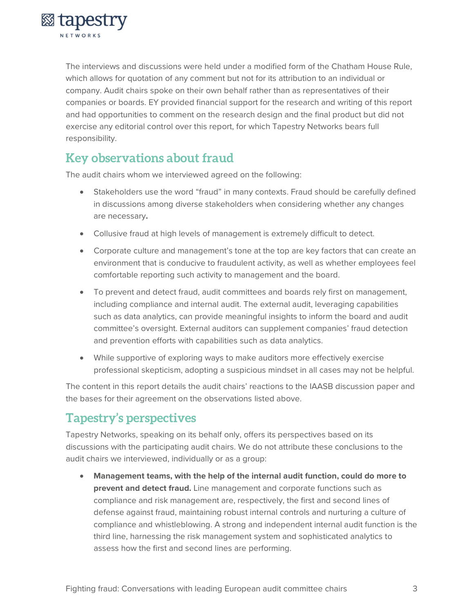

The interviews and discussions were held under a modified form of the Chatham House Rule, which allows for quotation of any comment but not for its attribution to an individual or company. Audit chairs spoke on their own behalf rather than as representatives of their companies or boards. EY provided financial support for the research and writing of this report and had opportunities to comment on the research design and the final product but did not exercise any editorial control over this report, for which Tapestry Networks bears full responsibility.

### **Key observations about fraud**

The audit chairs whom we interviewed agreed on the following:

- Stakeholders use the word "fraud" in many contexts. Fraud should be carefully defined in discussions among diverse stakeholders when considering whether any changes are necessary**.**
- Collusive fraud at high levels of management is extremely difficult to detect.
- Corporate culture and management's tone at the top are key factors that can create an environment that is conducive to fraudulent activity, as well as whether employees feel comfortable reporting such activity to management and the board.
- To prevent and detect fraud, audit committees and boards rely first on management, including compliance and internal audit. The external audit, leveraging capabilities such as data analytics, can provide meaningful insights to inform the board and audit committee's oversight. External auditors can supplement companies' fraud detection and prevention efforts with capabilities such as data analytics.
- While supportive of exploring ways to make auditors more effectively exercise professional skepticism, adopting a suspicious mindset in all cases may not be helpful.

The content in this report details the audit chairs' reactions to the IAASB discussion paper and the bases for their agreement on the observations listed above.

### **Tapestry's perspectives**

Tapestry Networks, speaking on its behalf only, offers its perspectives based on its discussions with the participating audit chairs. We do not attribute these conclusions to the audit chairs we interviewed, individually or as a group:

• **Management teams, with the help of the internal audit function, could do more to prevent and detect fraud.** Line management and corporate functions such as compliance and risk management are, respectively, the first and second lines of defense against fraud, maintaining robust internal controls and nurturing a culture of compliance and whistleblowing. A strong and independent internal audit function is the third line, harnessing the risk management system and sophisticated analytics to assess how the first and second lines are performing.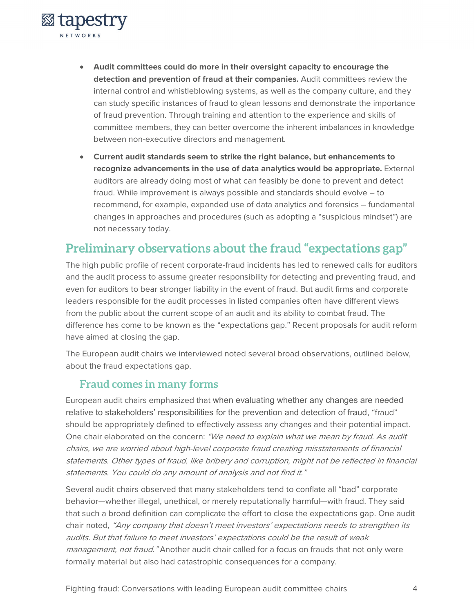

- **Audit committees could do more in their oversight capacity to encourage the detection and prevention of fraud at their companies.** Audit committees review the internal control and whistleblowing systems, as well as the company culture, and they can study specific instances of fraud to glean lessons and demonstrate the importance of fraud prevention. Through training and attention to the experience and skills of committee members, they can better overcome the inherent imbalances in knowledge between non-executive directors and management.
- **Current audit standards seem to strike the right balance, but enhancements to recognize advancements in the use of data analytics would be appropriate.** External auditors are already doing most of what can feasibly be done to prevent and detect fraud. While improvement is always possible and standards should evolve – to recommend, for example, expanded use of data analytics and forensics – fundamental changes in approaches and procedures (such as adopting a "suspicious mindset") are not necessary today.

### **Preliminary observations about the fraud "expectations gap"**

The high public profile of recent corporate-fraud incidents has led to renewed calls for auditors and the audit process to assume greater responsibility for detecting and preventing fraud, and even for auditors to bear stronger liability in the event of fraud. But audit firms and corporate leaders responsible for the audit processes in listed companies often have different views from the public about the current scope of an audit and its ability to combat fraud. The difference has come to be known as the "expectations gap." Recent proposals for audit reform have aimed at closing the gap.

The European audit chairs we interviewed noted several broad observations, outlined below, about the fraud expectations gap.

#### **Fraud comes in many forms**

European audit chairs emphasized that when evaluating whether any changes are needed relative to stakeholders' responsibilities for the prevention and detection of fraud, "fraud" should be appropriately defined to effectively assess any changes and their potential impact. One chair elaborated on the concern: "We need to explain what we mean by fraud. As audit chairs, we are worried about high-level corporate fraud creating misstatements of financial statements. Other types of fraud, like bribery and corruption, might not be reflected in financial statements. You could do any amount of analysis and not find it."

Several audit chairs observed that many stakeholders tend to conflate all "bad" corporate behavior—whether illegal, unethical, or merely reputationally harmful—with fraud. They said that such a broad definition can complicate the effort to close the expectations gap. One audit chair noted, "Any company that doesn't meet investors' expectations needs to strengthen its audits. But that failure to meet investors' expectations could be the result of weak management, not fraud." Another audit chair called for a focus on frauds that not only were formally material but also had catastrophic consequences for a company.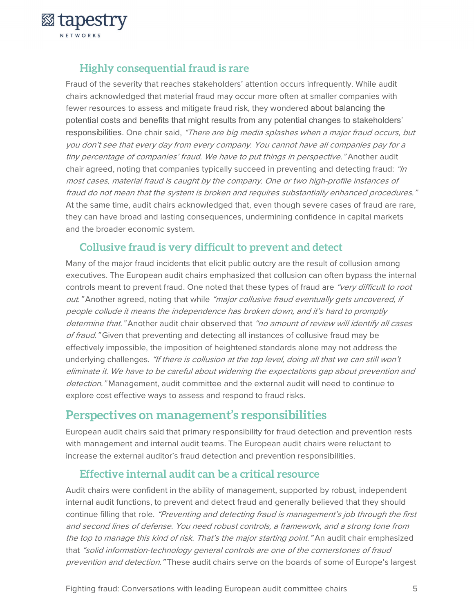

### **Highly consequential fraud is rare**

Fraud of the severity that reaches stakeholders' attention occurs infrequently. While audit chairs acknowledged that material fraud may occur more often at smaller companies with fewer resources to assess and mitigate fraud risk, they wondered about balancing the potential costs and benefits that might results from any potential changes to stakeholders' responsibilities. One chair said, "There are big media splashes when a major fraud occurs, but you don't see that every day from every company. You cannot have all companies pay for a tiny percentage of companies' fraud. We have to put things in perspective." Another audit chair agreed, noting that companies typically succeed in preventing and detecting fraud: "In most cases, material fraud is caught by the company. One or two high-profile instances of fraud do not mean that the system is broken and requires substantially enhanced procedures." At the same time, audit chairs acknowledged that, even though severe cases of fraud are rare, they can have broad and lasting consequences, undermining confidence in capital markets and the broader economic system.

### **Collusive fraud is very difficult to prevent and detect**

Many of the major fraud incidents that elicit public outcry are the result of collusion among executives. The European audit chairs emphasized that collusion can often bypass the internal controls meant to prevent fraud. One noted that these types of fraud are "very difficult to root out." Another agreed, noting that while "major collusive fraud eventually gets uncovered, if people collude it means the independence has broken down, and it's hard to promptly determine that." Another audit chair observed that "no amount of review will identify all cases of fraud." Given that preventing and detecting all instances of collusive fraud may be effectively impossible, the imposition of heightened standards alone may not address the underlying challenges. "If there is collusion at the top level, doing all that we can still won't eliminate it. We have to be careful about widening the expectations gap about prevention and detection." Management, audit committee and the external audit will need to continue to explore cost effective ways to assess and respond to fraud risks.

### **Perspectives on management's responsibilities**

European audit chairs said that primary responsibility for fraud detection and prevention rests with management and internal audit teams. The European audit chairs were reluctant to increase the external auditor's fraud detection and prevention responsibilities.

### **Effective internal audit can be a critical resource**

Audit chairs were confident in the ability of management, supported by robust, independent internal audit functions, to prevent and detect fraud and generally believed that they should continue filling that role. "Preventing and detecting fraud is management's job through the first and second lines of defense. You need robust controls, a framework, and a strong tone from the top to manage this kind of risk. That's the major starting point." An audit chair emphasized that "solid information-technology general controls are one of the cornerstones of fraud prevention and detection." These audit chairs serve on the boards of some of Europe's largest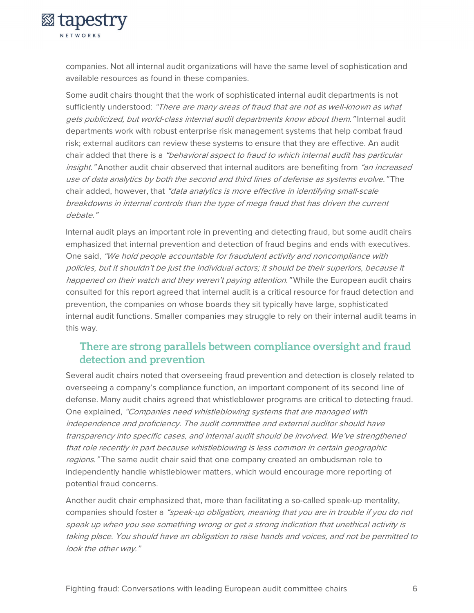

companies. Not all internal audit organizations will have the same level of sophistication and available resources as found in these companies.

Some audit chairs thought that the work of sophisticated internal audit departments is not sufficiently understood: "There are many areas of fraud that are not as well-known as what gets publicized, but world-class internal audit departments know about them." Internal audit departments work with robust enterprise risk management systems that help combat fraud risk; external auditors can review these systems to ensure that they are effective. An audit chair added that there is a "behavioral aspect to fraud to which internal audit has particular insight." Another audit chair observed that internal auditors are benefiting from "an increased use of data analytics by both the second and third lines of defense as systems evolve." The chair added, however, that "data analytics is more effective in identifying small-scale breakdowns in internal controls than the type of mega fraud that has driven the current debate."

Internal audit plays an important role in preventing and detecting fraud, but some audit chairs emphasized that internal prevention and detection of fraud begins and ends with executives. One said, "We hold people accountable for fraudulent activity and noncompliance with policies, but it shouldn't be just the individual actors; it should be their superiors, because it happened on their watch and they weren't paying attention." While the European audit chairs consulted for this report agreed that internal audit is a critical resource for fraud detection and prevention, the companies on whose boards they sit typically have large, sophisticated internal audit functions. Smaller companies may struggle to rely on their internal audit teams in this way.

### **There are strong parallels between compliance oversight and fraud detection and prevention**

Several audit chairs noted that overseeing fraud prevention and detection is closely related to overseeing a company's compliance function, an important component of its second line of defense. Many audit chairs agreed that whistleblower programs are critical to detecting fraud. One explained, "Companies need whistleblowing systems that are managed with independence and proficiency. The audit committee and external auditor should have transparency into specific cases, and internal audit should be involved. We've strengthened that role recently in part because whistleblowing is less common in certain geographic regions." The same audit chair said that one company created an ombudsman role to independently handle whistleblower matters, which would encourage more reporting of potential fraud concerns.

Another audit chair emphasized that, more than facilitating a so-called speak-up mentality, companies should foster a "speak-up obligation, meaning that you are in trouble if you do not speak up when you see something wrong or get a strong indication that unethical activity is taking place. You should have an obligation to raise hands and voices, and not be permitted to look the other way."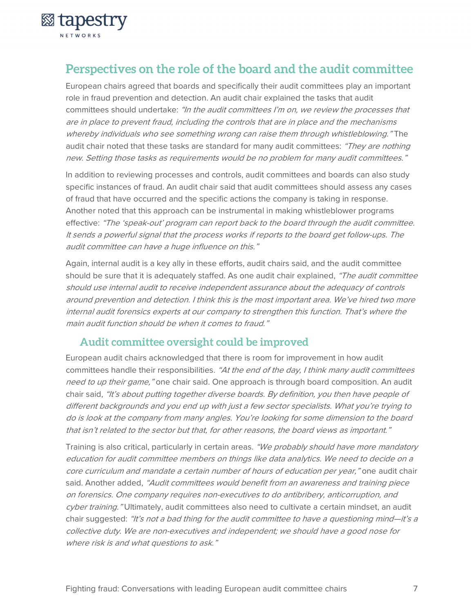

### **Perspectives on the role of the board and the audit committee**

European chairs agreed that boards and specifically their audit committees play an important role in fraud prevention and detection. An audit chair explained the tasks that audit committees should undertake: "In the audit committees I'm on, we review the processes that are in place to prevent fraud, including the controls that are in place and the mechanisms whereby individuals who see something wrong can raise them through whistleblowing." The audit chair noted that these tasks are standard for many audit committees: "They are nothing new. Setting those tasks as requirements would be no problem for many audit committees."

In addition to reviewing processes and controls, audit committees and boards can also study specific instances of fraud. An audit chair said that audit committees should assess any cases of fraud that have occurred and the specific actions the company is taking in response. Another noted that this approach can be instrumental in making whistleblower programs effective: "The 'speak-out' program can report back to the board through the audit committee. It sends a powerful signal that the process works if reports to the board get follow-ups. The audit committee can have a huge influence on this."

Again, internal audit is a key ally in these efforts, audit chairs said, and the audit committee should be sure that it is adequately staffed. As one audit chair explained, "The audit committee should use internal audit to receive independent assurance about the adequacy of controls around prevention and detection. I think this is the most important area. We've hired two more internal audit forensics experts at our company to strengthen this function. That's where the main audit function should be when it comes to fraud."

### **Audit committee oversight could be improved**

European audit chairs acknowledged that there is room for improvement in how audit committees handle their responsibilities. "At the end of the day, I think many audit committees need to up their game," one chair said. One approach is through board composition. An audit chair said, "It's about putting together diverse boards. By definition, you then have people of different backgrounds and you end up with just a few sector specialists. What you're trying to do is look at the company from many angles. You're looking for some dimension to the board that isn't related to the sector but that, for other reasons, the board views as important."

Training is also critical, particularly in certain areas. "We probably should have more mandatory education for audit committee members on things like data analytics. We need to decide on a core curriculum and mandate a certain number of hours of education per year," one audit chair said. Another added, "Audit committees would benefit from an awareness and training piece on forensics. One company requires non-executives to do antibribery, anticorruption, and cyber training." Ultimately, audit committees also need to cultivate a certain mindset, an audit chair suggested: "It's not a bad thing for the audit committee to have a questioning mind—it's a collective duty. We are non-executives and independent; we should have a good nose for where risk is and what questions to ask."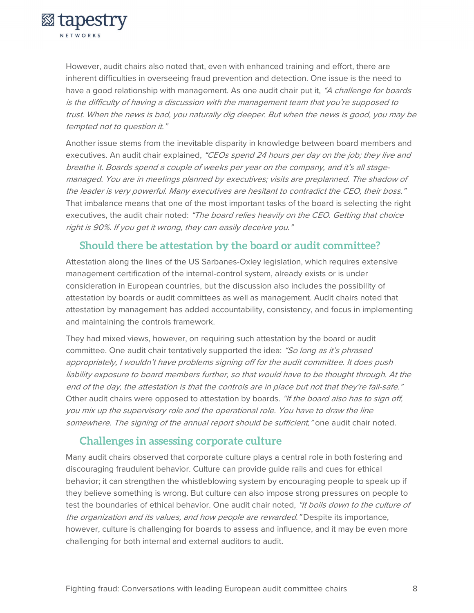

However, audit chairs also noted that, even with enhanced training and effort, there are inherent difficulties in overseeing fraud prevention and detection. One issue is the need to have a good relationship with management. As one audit chair put it, "A challenge for boards is the difficulty of having a discussion with the management team that you're supposed to trust. When the news is bad, you naturally dig deeper. But when the news is good, you may be tempted not to question it."

Another issue stems from the inevitable disparity in knowledge between board members and executives. An audit chair explained, "CEOs spend 24 hours per day on the job; they live and breathe it. Boards spend a couple of weeks per year on the company, and it's all stagemanaged. You are in meetings planned by executives; visits are preplanned. The shadow of the leader is very powerful. Many executives are hesitant to contradict the CEO, their boss." That imbalance means that one of the most important tasks of the board is selecting the right executives, the audit chair noted: "The board relies heavily on the CEO. Getting that choice right is 90%. If you get it wrong, they can easily deceive you."

### **Should there be attestation by the board or audit committee?**

Attestation along the lines of the US Sarbanes-Oxley legislation, which requires extensive management certification of the internal-control system, already exists or is under consideration in European countries, but the discussion also includes the possibility of attestation by boards or audit committees as well as management. Audit chairs noted that attestation by management has added accountability, consistency, and focus in implementing and maintaining the controls framework.

They had mixed views, however, on requiring such attestation by the board or audit committee. One audit chair tentatively supported the idea: "So long as it's phrased appropriately, I wouldn't have problems signing off for the audit committee. It does push liability exposure to board members further, so that would have to be thought through. At the end of the day, the attestation is that the controls are in place but not that they're fail-safe." Other audit chairs were opposed to attestation by boards. "If the board also has to sign off, you mix up the supervisory role and the operational role. You have to draw the line somewhere. The signing of the annual report should be sufficient," one audit chair noted.

### **Challenges in assessing corporate culture**

Many audit chairs observed that corporate culture plays a central role in both fostering and discouraging fraudulent behavior. Culture can provide guide rails and cues for ethical behavior; it can strengthen the whistleblowing system by encouraging people to speak up if they believe something is wrong. But culture can also impose strong pressures on people to test the boundaries of ethical behavior. One audit chair noted, "It boils down to the culture of the organization and its values, and how people are rewarded." Despite its importance, however, culture is challenging for boards to assess and influence, and it may be even more challenging for both internal and external auditors to audit.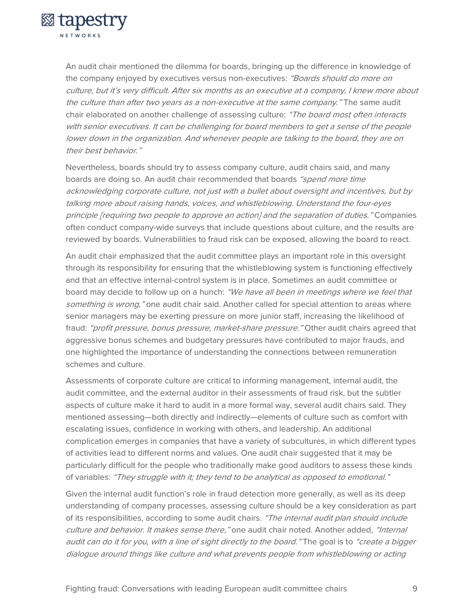

An audit chair mentioned the dilemma for boards, bringing up the difference in knowledge of the company enjoyed by executives versus non-executives: "Boards should do more on culture, but it's very difficult. After six months as an executive at a company, I knew more about the culture than after two years as a non-executive at the same company." The same audit chair elaborated on another challenge of assessing culture: "The board most often interacts with senior executives. It can be challenging for board members to get a sense of the people lower down in the organization. And whenever people are talking to the board, they are on their hest hehavior."

Nevertheless, boards should try to assess company culture, audit chairs said, and many boards are doing so. An audit chair recommended that boards "spend more time acknowledging corporate culture, not just with a bullet about oversight and incentives, but by talking more about raising hands, voices, and whistleblowing. Understand the four-eyes principle [requiring two people to approve an action] and the separation of duties." Companies often conduct company-wide surveys that include questions about culture, and the results are reviewed by boards. Vulnerabilities to fraud risk can be exposed, allowing the board to react.

An audit chair emphasized that the audit committee plays an important role in this oversight through its responsibility for ensuring that the whistleblowing system is functioning effectively and that an effective internal-control system is in place. Sometimes an audit committee or board may decide to follow up on a hunch: "We have all been in meetings where we feel that something is wrong," one audit chair said. Another called for special attention to areas where senior managers may be exerting pressure on more junior staff, increasing the likelihood of fraud: "profit pressure, bonus pressure, market-share pressure." Other audit chairs agreed that aggressive bonus schemes and budgetary pressures have contributed to major frauds, and one highlighted the importance of understanding the connections between remuneration schemes and culture.

Assessments of corporate culture are critical to informing management, internal audit, the audit committee, and the external auditor in their assessments of fraud risk, but the subtler aspects of culture make it hard to audit in a more formal way, several audit chairs said. They mentioned assessing—both directly and indirectly—elements of culture such as comfort with escalating issues, confidence in working with others, and leadership. An additional complication emerges in companies that have a variety of subcultures, in which different types of activities lead to different norms and values. One audit chair suggested that it may be particularly difficult for the people who traditionally make good auditors to assess these kinds of variables: "They struggle with it; they tend to be analytical as opposed to emotional."

Given the internal audit function's role in fraud detection more generally, as well as its deep understanding of company processes, assessing culture should be a key consideration as part of its responsibilities, according to some audit chairs. "The internal audit plan should include culture and behavior. It makes sense there," one audit chair noted. Another added, "Internal audit can do it for you, with a line of sight directly to the board." The goal is to "create a bigger dialogue around things like culture and what prevents people from whistleblowing or acting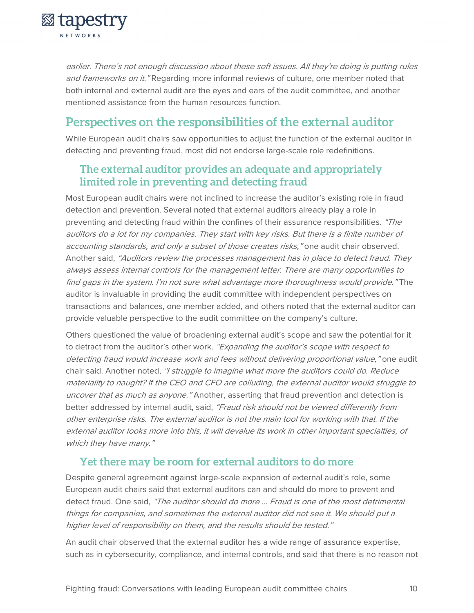

earlier. There's not enough discussion about these soft issues. All they're doing is putting rules and frameworks on it. "Regarding more informal reviews of culture, one member noted that both internal and external audit are the eyes and ears of the audit committee, and another mentioned assistance from the human resources function.

### **Perspectives on the responsibilities of the external auditor**

While European audit chairs saw opportunities to adjust the function of the external auditor in detecting and preventing fraud, most did not endorse large-scale role redefinitions.

### **The external auditor provides an adequate and appropriately limited role in preventing and detecting fraud**

Most European audit chairs were not inclined to increase the auditor's existing role in fraud detection and prevention. Several noted that external auditors already play a role in preventing and detecting fraud within the confines of their assurance responsibilities. "The auditors do a lot for my companies. They start with key risks. But there is a finite number of accounting standards, and only a subset of those creates risks," one audit chair observed. Another said, "Auditors review the processes management has in place to detect fraud. They always assess internal controls for the management letter. There are many opportunities to find gaps in the system. I'm not sure what advantage more thoroughness would provide." The auditor is invaluable in providing the audit committee with independent perspectives on transactions and balances, one member added, and others noted that the external auditor can provide valuable perspective to the audit committee on the company's culture.

Others questioned the value of broadening external audit's scope and saw the potential for it to detract from the auditor's other work. "Expanding the auditor's scope with respect to detecting fraud would increase work and fees without delivering proportional value," one audit chair said. Another noted, "I struggle to imagine what more the auditors could do. Reduce materiality to naught? If the CEO and CFO are colluding, the external auditor would struggle to uncover that as much as anyone." Another, asserting that fraud prevention and detection is better addressed by internal audit, said, "Fraud risk should not be viewed differently from other enterprise risks. The external auditor is not the main tool for working with that. If the external auditor looks more into this, it will devalue its work in other important specialties, of which they have many."

#### **Yet there may be room for external auditors to do more**

Despite general agreement against large-scale expansion of external audit's role, some European audit chairs said that external auditors can and should do more to prevent and detect fraud. One said, "The auditor should do more ... Fraud is one of the most detrimental things for companies, and sometimes the external auditor did not see it. We should put a higher level of responsibility on them, and the results should be tested."

An audit chair observed that the external auditor has a wide range of assurance expertise, such as in cybersecurity, compliance, and internal controls, and said that there is no reason not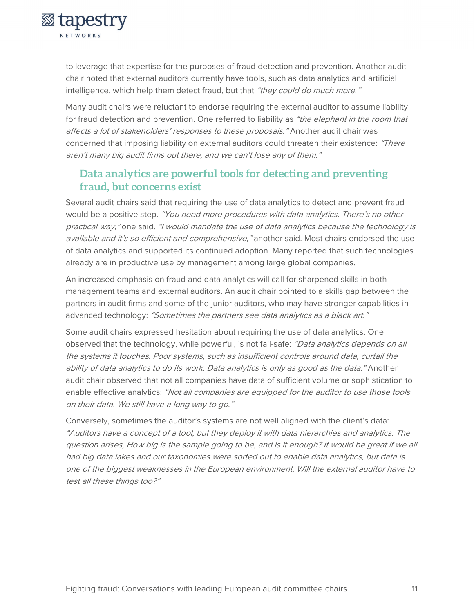

to leverage that expertise for the purposes of fraud detection and prevention. Another audit chair noted that external auditors currently have tools, such as data analytics and artificial intelligence, which help them detect fraud, but that "they could do much more."

Many audit chairs were reluctant to endorse requiring the external auditor to assume liability for fraud detection and prevention. One referred to liability as "the elephant in the room that affects a lot of stakeholders' responses to these proposals." Another audit chair was concerned that imposing liability on external auditors could threaten their existence: "There aren't many big audit firms out there, and we can't lose any of them."

### **Data analytics are powerful tools for detecting and preventing fraud, but concerns exist**

Several audit chairs said that requiring the use of data analytics to detect and prevent fraud would be a positive step. "You need more procedures with data analytics. There's no other practical way," one said. "I would mandate the use of data analytics because the technology is available and it's so efficient and comprehensive," another said. Most chairs endorsed the use of data analytics and supported its continued adoption. Many reported that such technologies already are in productive use by management among large global companies.

An increased emphasis on fraud and data analytics will call for sharpened skills in both management teams and external auditors. An audit chair pointed to a skills gap between the partners in audit firms and some of the junior auditors, who may have stronger capabilities in advanced technology: "Sometimes the partners see data analytics as a black art."

Some audit chairs expressed hesitation about requiring the use of data analytics. One observed that the technology, while powerful, is not fail-safe: "Data analytics depends on all the systems it touches. Poor systems, such as insufficient controls around data, curtail the ability of data analytics to do its work. Data analytics is only as good as the data." Another audit chair observed that not all companies have data of sufficient volume or sophistication to enable effective analytics: "Not all companies are equipped for the auditor to use those tools on their data. We still have a long way to go."

Conversely, sometimes the auditor's systems are not well aligned with the client's data: "Auditors have a concept of a tool, but they deploy it with data hierarchies and analytics. The question arises, How big is the sample going to be, and is it enough? It would be great if we all had big data lakes and our taxonomies were sorted out to enable data analytics, but data is one of the biggest weaknesses in the European environment. Will the external auditor have to test all these things too?"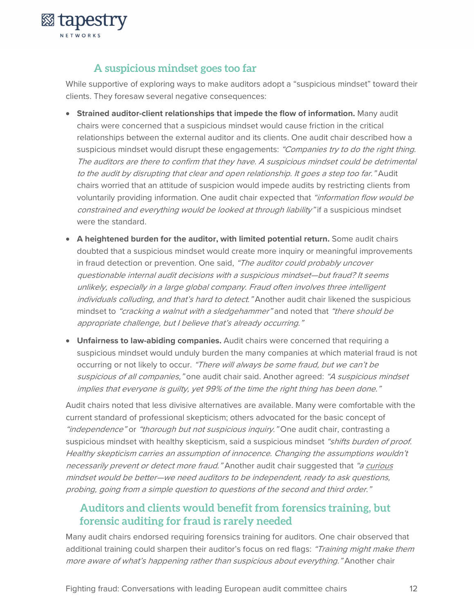

### **A suspicious mindset goes too far**

While supportive of exploring ways to make auditors adopt a "suspicious mindset" toward their clients. They foresaw several negative consequences:

- **Strained auditor-client relationships that impede the flow of information.** Many audit chairs were concerned that a suspicious mindset would cause friction in the critical relationships between the external auditor and its clients. One audit chair described how a suspicious mindset would disrupt these engagements: "Companies try to do the right thing. The auditors are there to confirm that they have. A suspicious mindset could be detrimental to the audit by disrupting that clear and open relationship. It goes a step too far." Audit chairs worried that an attitude of suspicion would impede audits by restricting clients from voluntarily providing information. One audit chair expected that "information flow would be constrained and everything would be looked at through liability" if a suspicious mindset were the standard.
- **A heightened burden for the auditor, with limited potential return.** Some audit chairs doubted that a suspicious mindset would create more inquiry or meaningful improvements in fraud detection or prevention. One said, "The auditor could probably uncover questionable internal audit decisions with a suspicious mindset—but fraud? It seems unlikely, especially in a large global company. Fraud often involves three intelligent individuals colluding, and that's hard to detect." Another audit chair likened the suspicious mindset to "cracking a walnut with a sledgehammer" and noted that "there should be appropriate challenge, but I believe that's already occurring."
- **Unfairness to law-abiding companies.** Audit chairs were concerned that requiring a suspicious mindset would unduly burden the many companies at which material fraud is not occurring or not likely to occur. "There will always be some fraud, but we can't be suspicious of all companies," one audit chair said. Another agreed: "A suspicious mindset implies that everyone is guilty, yet 99% of the time the right thing has been done."

Audit chairs noted that less divisive alternatives are available. Many were comfortable with the current standard of professional skepticism; others advocated for the basic concept of "independence" or "thorough but not suspicious inquiry." One audit chair, contrasting a suspicious mindset with healthy skepticism, said a suspicious mindset "shifts burden of proof. Healthy skepticism carries an assumption of innocence. Changing the assumptions wouldn't necessarily prevent or detect more fraud." Another audit chair suggested that "a curious mindset would be better—we need auditors to be independent, ready to ask questions, probing, going from a simple question to questions of the second and third order."

### **Auditors and clients would benefit from forensics training, but forensic auditing for fraud is rarely needed**

Many audit chairs endorsed requiring forensics training for auditors. One chair observed that additional training could sharpen their auditor's focus on red flags: "Training might make them more aware of what's happening rather than suspicious about everything." Another chair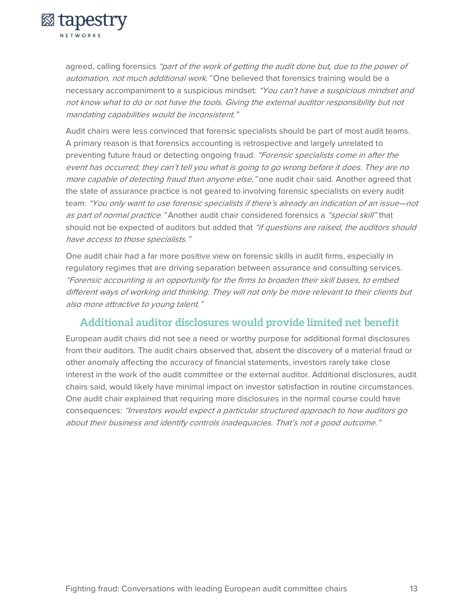

agreed, calling forensics "part of the work of getting the audit done but, due to the power of automation, not much additional work." One believed that forensics training would be a necessary accompaniment to a suspicious mindset: "You can't have a suspicious mindset and not know what to do or not have the tools. Giving the external auditor responsibility but not mandating capabilities would be inconsistent."

Audit chairs were less convinced that forensic specialists should be part of most audit teams. A primary reason is that forensics accounting is retrospective and largely unrelated to preventing future fraud or detecting ongoing fraud. "Forensic specialists come in after the event has occurred; they can't tell you what is going to go wrong before it does. They are no more capable of detecting fraud than anyone else," one audit chair said. Another agreed that the state of assurance practice is not geared to involving forensic specialists on every audit team: "You only want to use forensic specialists if there's already an indication of an issue—not as part of normal practice." Another audit chair considered forensics a "special skill" that should not be expected of auditors but added that "if questions are raised, the auditors should have access to those specialists."

One audit chair had a far more positive view on forensic skills in audit firms, especially in regulatory regimes that are driving separation between assurance and consulting services. "Forensic accounting is an opportunity for the firms to broaden their skill bases, to embed different ways of working and thinking. They will not only be more relevant to their clients but also more attractive to young talent."

### **Additional auditor disclosures would provide limited net benefit**

European audit chairs did not see a need or worthy purpose for additional formal disclosures from their auditors. The audit chairs observed that, absent the discovery of a material fraud or other anomaly affecting the accuracy of financial statements, investors rarely take close interest in the work of the audit committee or the external auditor. Additional disclosures, audit chairs said, would likely have minimal impact on investor satisfaction in routine circumstances. One audit chair explained that requiring more disclosures in the normal course could have consequences: "Investors would expect a particular structured approach to how auditors go about their business and identify controls inadequacies. That's not a good outcome."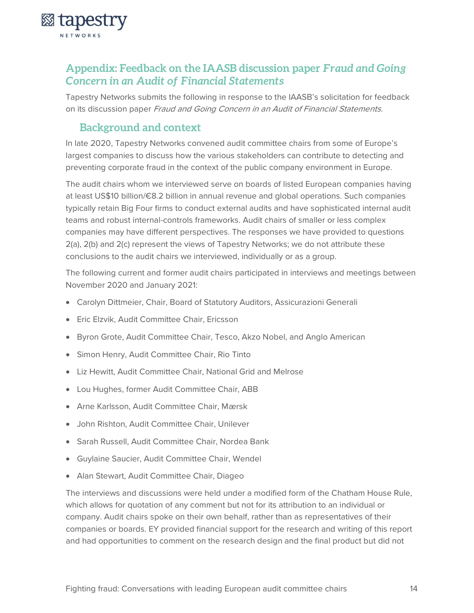

### **Appendix: Feedback on the IAASB discussion paper** *Fraud and Going Concern in an Audit of Financial Statements*

Tapestry Networks submits the following in response to the IAASB's solicitation for feedback on its discussion paper Fraud and Going Concern in an Audit of Financial Statements.

### **Background and context**

In late 2020, Tapestry Networks convened audit committee chairs from some of Europe's largest companies to discuss how the various stakeholders can contribute to detecting and preventing corporate fraud in the context of the public company environment in Europe.

The audit chairs whom we interviewed serve on boards of listed European companies having at least US\$10 billion/€8.2 billion in annual revenue and global operations. Such companies typically retain Big Four firms to conduct external audits and have sophisticated internal audit teams and robust internal-controls frameworks. Audit chairs of smaller or less complex companies may have different perspectives. The responses we have provided to questions 2(a), 2(b) and 2(c) represent the views of Tapestry Networks; we do not attribute these conclusions to the audit chairs we interviewed, individually or as a group.

The following current and former audit chairs participated in interviews and meetings between November 2020 and January 2021:

- Carolyn Dittmeier, Chair, Board of Statutory Auditors, Assicurazioni Generali
- Eric Elzvik, Audit Committee Chair, Ericsson
- Byron Grote, Audit Committee Chair, Tesco, Akzo Nobel, and Anglo American
- Simon Henry, Audit Committee Chair, Rio Tinto
- Liz Hewitt, Audit Committee Chair, National Grid and Melrose
- Lou Hughes, former Audit Committee Chair, ABB
- Arne Karlsson, Audit Committee Chair, Mærsk
- John Rishton, Audit Committee Chair, Unilever
- Sarah Russell, Audit Committee Chair, Nordea Bank
- Guylaine Saucier, Audit Committee Chair, Wendel
- Alan Stewart, Audit Committee Chair, Diageo

The interviews and discussions were held under a modified form of the Chatham House Rule, which allows for quotation of any comment but not for its attribution to an individual or company. Audit chairs spoke on their own behalf, rather than as representatives of their companies or boards. EY provided financial support for the research and writing of this report and had opportunities to comment on the research design and the final product but did not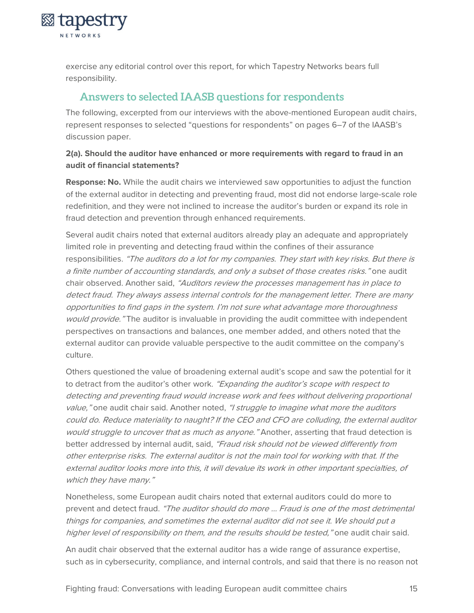**& tapestry** NETWORKS

> exercise any editorial control over this report, for which Tapestry Networks bears full responsibility.

### **Answers to selected IAASB questions for respondents**

The following, excerpted from our interviews with the above-mentioned European audit chairs, represent responses to selected "questions for respondents" on pages 6–7 of the IAASB's discussion paper.

#### **2(a). Should the auditor have enhanced or more requirements with regard to fraud in an audit of financial statements?**

**Response: No.** While the audit chairs we interviewed saw opportunities to adjust the function of the external auditor in detecting and preventing fraud, most did not endorse large-scale role redefinition, and they were not inclined to increase the auditor's burden or expand its role in fraud detection and prevention through enhanced requirements.

Several audit chairs noted that external auditors already play an adequate and appropriately limited role in preventing and detecting fraud within the confines of their assurance responsibilities. "The auditors do a lot for my companies. They start with key risks. But there is a finite number of accounting standards, and only a subset of those creates risks." one audit chair observed. Another said, "Auditors review the processes management has in place to detect fraud. They always assess internal controls for the management letter. There are many opportunities to find gaps in the system. I'm not sure what advantage more thoroughness would provide." The auditor is invaluable in providing the audit committee with independent perspectives on transactions and balances, one member added, and others noted that the external auditor can provide valuable perspective to the audit committee on the company's culture.

Others questioned the value of broadening external audit's scope and saw the potential for it to detract from the auditor's other work. "Expanding the auditor's scope with respect to detecting and preventing fraud would increase work and fees without delivering proportional value," one audit chair said. Another noted, "I struggle to imagine what more the auditors could do. Reduce materiality to naught? If the CEO and CFO are colluding, the external auditor would struggle to uncover that as much as anyone." Another, asserting that fraud detection is better addressed by internal audit, said, "Fraud risk should not be viewed differently from other enterprise risks. The external auditor is not the main tool for working with that. If the external auditor looks more into this, it will devalue its work in other important specialties, of which they have many."

Nonetheless, some European audit chairs noted that external auditors could do more to prevent and detect fraud. "The auditor should do more ... Fraud is one of the most detrimental things for companies, and sometimes the external auditor did not see it. We should put a higher level of responsibility on them, and the results should be tested," one audit chair said.

An audit chair observed that the external auditor has a wide range of assurance expertise, such as in cybersecurity, compliance, and internal controls, and said that there is no reason not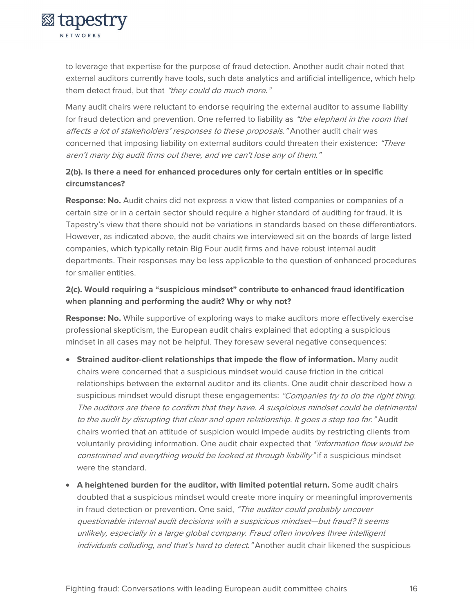

to leverage that expertise for the purpose of fraud detection. Another audit chair noted that external auditors currently have tools, such data analytics and artificial intelligence, which help them detect fraud, but that "they could do much more."

Many audit chairs were reluctant to endorse requiring the external auditor to assume liability for fraud detection and prevention. One referred to liability as "the elephant in the room that affects a lot of stakeholders' responses to these proposals." Another audit chair was concerned that imposing liability on external auditors could threaten their existence: "There aren't many big audit firms out there, and we can't lose any of them."

#### **2(b). Is there a need for enhanced procedures only for certain entities or in specific circumstances?**

**Response: No.** Audit chairs did not express a view that listed companies or companies of a certain size or in a certain sector should require a higher standard of auditing for fraud. It is Tapestry's view that there should not be variations in standards based on these differentiators. However, as indicated above, the audit chairs we interviewed sit on the boards of large listed companies, which typically retain Big Four audit firms and have robust internal audit departments. Their responses may be less applicable to the question of enhanced procedures for smaller entities.

#### **2(c). Would requiring a "suspicious mindset" contribute to enhanced fraud identification when planning and performing the audit? Why or why not?**

**Response: No.** While supportive of exploring ways to make auditors more effectively exercise professional skepticism, the European audit chairs explained that adopting a suspicious mindset in all cases may not be helpful. They foresaw several negative consequences:

- **Strained auditor-client relationships that impede the flow of information.** Many audit chairs were concerned that a suspicious mindset would cause friction in the critical relationships between the external auditor and its clients. One audit chair described how a suspicious mindset would disrupt these engagements: "Companies try to do the right thing. The auditors are there to confirm that they have. A suspicious mindset could be detrimental to the audit by disrupting that clear and open relationship. It goes a step too far." Audit chairs worried that an attitude of suspicion would impede audits by restricting clients from voluntarily providing information. One audit chair expected that "information flow would be constrained and everything would be looked at through liability" if a suspicious mindset were the standard.
- **A heightened burden for the auditor, with limited potential return.** Some audit chairs doubted that a suspicious mindset would create more inquiry or meaningful improvements in fraud detection or prevention. One said, "The auditor could probably uncover questionable internal audit decisions with a suspicious mindset—but fraud? It seems unlikely, especially in a large global company. Fraud often involves three intelligent individuals colluding, and that's hard to detect." Another audit chair likened the suspicious